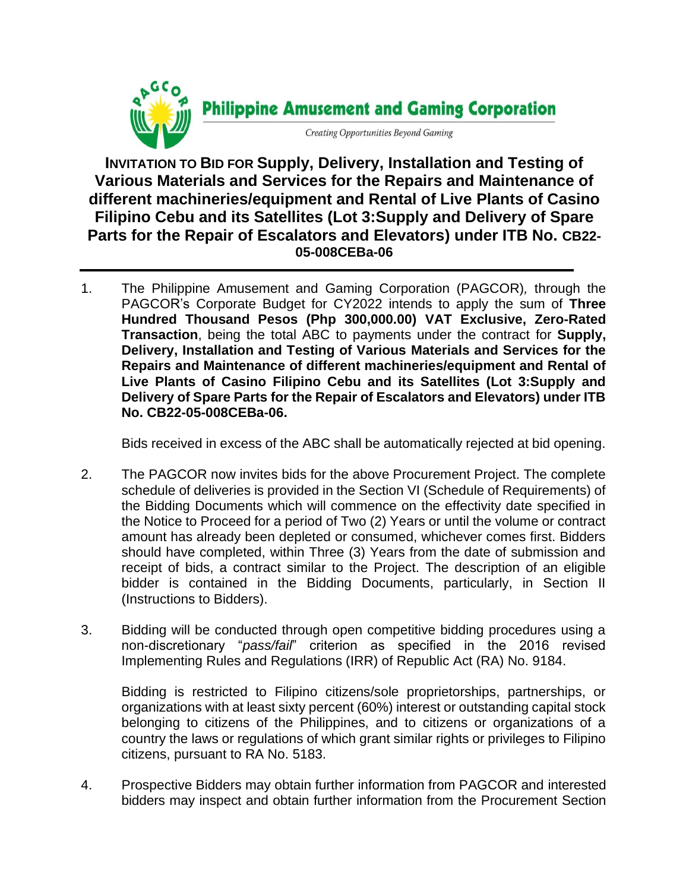

**INVITATION TO BID FOR Supply, Delivery, Installation and Testing of Various Materials and Services for the Repairs and Maintenance of different machineries/equipment and Rental of Live Plants of Casino Filipino Cebu and its Satellites (Lot 3:Supply and Delivery of Spare Parts for the Repair of Escalators and Elevators) under ITB No. CB22- 05-008CEBa-06**

1. The Philippine Amusement and Gaming Corporation (PAGCOR)*,* through the PAGCOR's Corporate Budget for CY2022 intends to apply the sum of **Three Hundred Thousand Pesos (Php 300,000.00) VAT Exclusive, Zero-Rated Transaction**, being the total ABC to payments under the contract for **Supply, Delivery, Installation and Testing of Various Materials and Services for the Repairs and Maintenance of different machineries/equipment and Rental of Live Plants of Casino Filipino Cebu and its Satellites (Lot 3:Supply and Delivery of Spare Parts for the Repair of Escalators and Elevators) under ITB No. CB22-05-008CEBa-06.**

Bids received in excess of the ABC shall be automatically rejected at bid opening.

- 2. The PAGCOR now invites bids for the above Procurement Project. The complete schedule of deliveries is provided in the Section VI (Schedule of Requirements) of the Bidding Documents which will commence on the effectivity date specified in the Notice to Proceed for a period of Two (2) Years or until the volume or contract amount has already been depleted or consumed, whichever comes first. Bidders should have completed, within Three (3) Years from the date of submission and receipt of bids, a contract similar to the Project. The description of an eligible bidder is contained in the Bidding Documents, particularly, in Section II (Instructions to Bidders).
- 3. Bidding will be conducted through open competitive bidding procedures using a non-discretionary "*pass/fail*" criterion as specified in the 2016 revised Implementing Rules and Regulations (IRR) of Republic Act (RA) No. 9184.

Bidding is restricted to Filipino citizens/sole proprietorships, partnerships, or organizations with at least sixty percent (60%) interest or outstanding capital stock belonging to citizens of the Philippines, and to citizens or organizations of a country the laws or regulations of which grant similar rights or privileges to Filipino citizens, pursuant to RA No. 5183.

4. Prospective Bidders may obtain further information from PAGCOR and interested bidders may inspect and obtain further information from the Procurement Section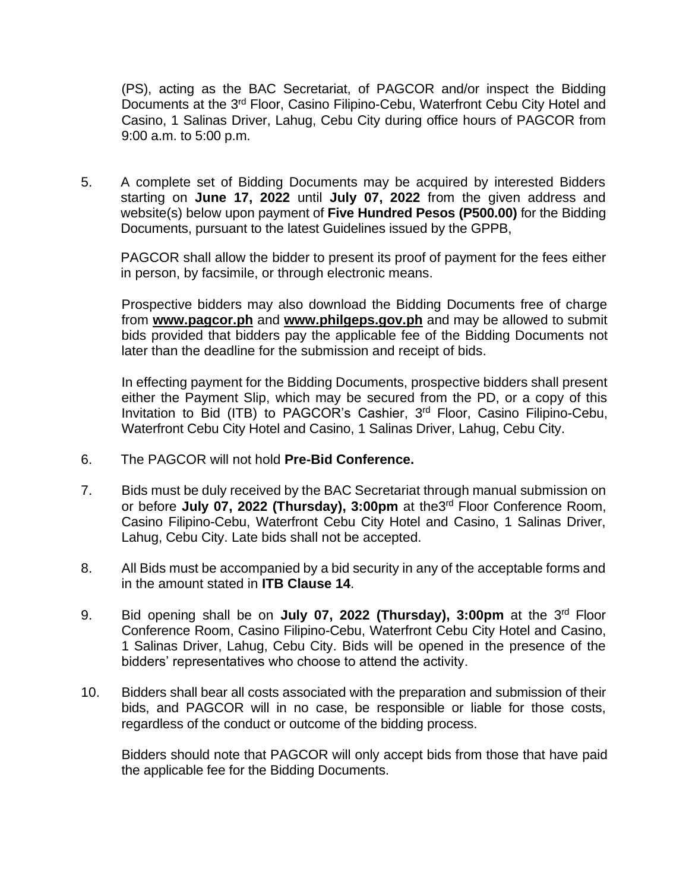(PS), acting as the BAC Secretariat, of PAGCOR and/or inspect the Bidding Documents at the 3<sup>rd</sup> Floor, Casino Filipino-Cebu, Waterfront Cebu City Hotel and Casino, 1 Salinas Driver, Lahug, Cebu City during office hours of PAGCOR from 9:00 a.m. to 5:00 p.m.

5. A complete set of Bidding Documents may be acquired by interested Bidders starting on **June 17, 2022** until **July 07, 2022** from the given address and website(s) below upon payment of **Five Hundred Pesos (P500.00)** for the Bidding Documents, pursuant to the latest Guidelines issued by the GPPB,

PAGCOR shall allow the bidder to present its proof of payment for the fees either in person, by facsimile, or through electronic means.

Prospective bidders may also download the Bidding Documents free of charge from **[www.pagcor.ph](http://www.pagcor.ph/)** and **www.philgeps.gov.ph** and may be allowed to submit bids provided that bidders pay the applicable fee of the Bidding Documents not later than the deadline for the submission and receipt of bids.

In effecting payment for the Bidding Documents, prospective bidders shall present either the Payment Slip, which may be secured from the PD, or a copy of this Invitation to Bid (ITB) to PAGCOR's Cashier, 3<sup>rd</sup> Floor, Casino Filipino-Cebu, Waterfront Cebu City Hotel and Casino, 1 Salinas Driver, Lahug, Cebu City.

- 6. The PAGCOR will not hold **Pre-Bid Conference.**
- 7. Bids must be duly received by the BAC Secretariat through manual submission on or before July 07, 2022 (Thursday), 3:00pm at the3<sup>rd</sup> Floor Conference Room, Casino Filipino-Cebu, Waterfront Cebu City Hotel and Casino, 1 Salinas Driver, Lahug, Cebu City. Late bids shall not be accepted.
- 8. All Bids must be accompanied by a bid security in any of the acceptable forms and in the amount stated in **ITB Clause 14**.
- 9. Bid opening shall be on **July 07, 2022 (Thursday), 3:00pm** at the 3<sup>rd</sup> Floor Conference Room, Casino Filipino-Cebu, Waterfront Cebu City Hotel and Casino, 1 Salinas Driver, Lahug, Cebu City. Bids will be opened in the presence of the bidders' representatives who choose to attend the activity.
- 10. Bidders shall bear all costs associated with the preparation and submission of their bids, and PAGCOR will in no case, be responsible or liable for those costs, regardless of the conduct or outcome of the bidding process.

Bidders should note that PAGCOR will only accept bids from those that have paid the applicable fee for the Bidding Documents.